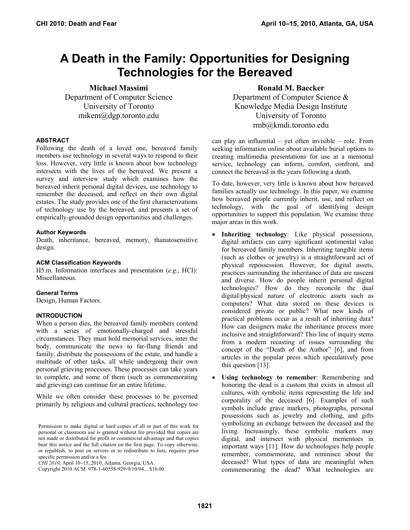# **A Death in the Family: Opportunities for Designing Technologies for the Bereaved**

**Michael Massimi**  Department of Computer Science University of Toronto mikem@dgp.toronto.edu

# **ABSTRACT**

Following the death of a loved one, bereaved family members use technology in several ways to respond to their loss. However, very little is known about how technology intersects with the lives of the bereaved. We present a survey and interview study which examines how the bereaved inherit personal digital devices, use technology to remember the deceased, and reflect on their own digital estates. The study provides one of the first characterizations of technology use by the bereaved, and presents a set of empirically-grounded design opportunities and challenges.

# **Author Keywords**

Death, inheritance, bereaved, memory, thanatosensitive design.

# **ACM Classification Keywords**

H5.m. Information interfaces and presentation (*e.g.*, HCI): **Miscellaneous** 

# **General Terms**

Design, Human Factors.

# **INTRODUCTION**

When a person dies, the bereaved family members contend with a series of emotionally-charged and stressful circumstances. They must hold memorial services, inter the body, communicate the news to far-flung friends and family, distribute the possessions of the estate, and handle a multitude of other tasks, all while undergoing their own personal grieving processes. These processes can take years to complete, and some of them (such as commemorating and grieving) can continue for an entire lifetime.

While we often consider these processes to be governed primarily by religious and cultural practices, technology too

# **Ronald M. Baecker**  Department of Computer Science & Knowledge Media Design Institute University of Toronto rmb@kmdi.toronto.edu

can play an influential – yet often invisible – role. From seeking information online about available burial options to creating multimedia presentations for use at a memorial service, technology can inform, comfort, confront, and connect the bereaved in the years following a death.

To date, however, very little is known about how bereaved families actually use technology. In this paper, we examine how bereaved people currently inherit, use, and reflect on technology, with the goal of identifying design opportunities to support this population. We examine three major areas in this work.

- **Inheriting technology**: Like physical possessions, digital artifacts can carry significant sentimental value for bereaved family members. Inheriting tangible items (such as clothes or jewelry) is a straightforward act of physical repossession. However, for digital assets, practices surrounding the inheritance of data are nascent and diverse. How do people inherit personal digital technologies? How do they reconcile the dual digital/physical nature of electronic assets such as computers? What data stored on these devices is considered private or public? What new kinds of practical problems occur as a result of inheriting data? How can designers make the inheritance process more inclusive and straightforward? This line of inquiry stems from a modern recasting of issues surrounding the concept of the "Death of the Author" [6], and from articles in the popular press which speculatively pose this question [13].
- Using technology to remember: Remembering and honoring the dead is a custom that exists in almost all cultures, with symbolic items representing the life and corporality of the deceased [6]. Examples of such symbols include grave markers, photographs, personal possessions such as jewelry and clothing, and gifts symbolizing an exchange between the deceased and the living. Increasingly, these symbolic markers may digital, and intersect with physical mementoes in important ways [11]. How do technologies help people remember, commemorate, and reminisce about the deceased? What types of data are meaningful when commemorating the dead? What technologies are

Permission to make digital or hard copies of all or part of this work for personal or classroom use is granted without fee provided that copies are not made or distributed for profit or commercial advantage and that copies bear this notice and the full citation on the first page. To copy otherwise, or republish, to post on servers or to redistribute to lists, requires prior specific permission and/or a fee.

*CHI 2010*, April 10–15, 2010, Atlanta, Georgia, USA.

Copyright 2010 ACM 978-1-60558-929-9/10/04....\$10.00.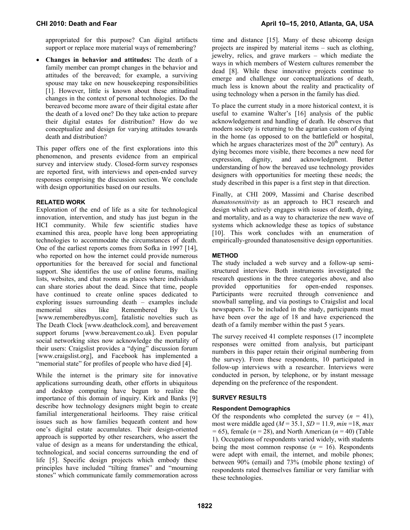appropriated for this purpose? Can digital artifacts support or replace more material ways of remembering?

• **Changes in behavior and attitudes:** The death of a family member can prompt changes in the behavior and attitudes of the bereaved; for example, a surviving spouse may take on new housekeeping responsibilities [1]. However, little is known about these attitudinal changes in the context of personal technologies. Do the bereaved become more aware of their digital estate after the death of a loved one? Do they take action to prepare their digital estates for distribution? How do we conceptualize and design for varying attitudes towards death and distribution?

This paper offers one of the first explorations into this phenomenon, and presents evidence from an empirical survey and interview study. Closed-form survey responses are reported first, with interviews and open-ended survey responses comprising the discussion section. We conclude with design opportunities based on our results.

# **RELATED WORK**

Exploration of the end of life as a site for technological innovation, intervention, and study has just begun in the HCI community. While few scientific studies have examined this area, people have long been appropriating technologies to accommodate the circumstances of death. One of the earliest reports comes from Sofka in 1997 [14], who reported on how the internet could provide numerous opportunities for the bereaved for social and functional support. She identifies the use of online forums, mailing lists, websites, and chat rooms as places where individuals can share stories about the dead. Since that time, people have continued to create online spaces dedicated to exploring issues surrounding death – examples include memorial sites like Remembered By Us [www.rememberedbyus.com], fatalistic novelties such as The Death Clock [www.deathclock.com], and bereavement support forums [www.bereavement.co.uk]. Even popular social networking sites now acknowledge the mortality of their users: Craigslist provides a "dying" discussion forum [www.craigslist.org], and Facebook has implemented a "memorial state" for profiles of people who have died [4].

While the internet is the primary site for innovative applications surrounding death, other efforts in ubiquitous and desktop computing have begun to realize the importance of this domain of inquiry. Kirk and Banks [9] describe how technology designers might begin to create familial intergenerational heirlooms. They raise critical issues such as how families bequeath content and how one's digital estate accumulates. Their design-oriented approach is supported by other researchers, who assert the value of design as a means for understanding the ethical, technological, and social concerns surrounding the end of life [5]. Specific design projects which embody these principles have included "tilting frames" and "mourning stones" which communicate family commemoration across time and distance [15]. Many of these ubicomp design projects are inspired by material items – such as clothing, jewelry, relics, and grave markers – which mediate the ways in which members of Western cultures remember the dead [8]. While these innovative projects continue to emerge and challenge our conceptualizations of death, much less is known about the reality and practicality of using technology when a person in the family has died.

To place the current study in a more historical context, it is useful to examine Walter's [16] analysis of the public acknowledgement and handling of death. He observes that modern society is returning to the agrarian custom of dying in the home (as opposed to on the battlefield or hospital, which he argues characterizes most of the  $20<sup>th</sup>$  century). As dying becomes more visible, there becomes a new need for expression, dignity, and acknowledgment. Better understanding of how the bereaved use technology provides designers with opportunities for meeting these needs; the study described in this paper is a first step in that direction.

Finally, at CHI 2009, Massimi and Charise described *thanatosensitivity* as an approach to HCI research and design which actively engages with issues of death, dying, and mortality, and as a way to characterize the new wave of systems which acknowledge these as topics of substance [10]. This work concludes with an enumeration of empirically-grounded thanatosensitive design opportunities.

# **METHOD**

The study included a web survey and a follow-up semistructured interview. Both instruments investigated the research questions in the three categories above, and also provided opportunities for open-ended responses. Participants were recruited through convenience and snowball sampling, and via postings to Craigslist and local newspapers. To be included in the study, participants must have been over the age of 18 and have experienced the death of a family member within the past 5 years.

The survey received 41 complete responses (17 incomplete responses were omitted from analysis, but participant numbers in this paper retain their original numbering from the survey). From these respondents, 10 participated in follow-up interviews with a researcher. Interviews were conducted in person, by telephone, or by instant message depending on the preference of the respondent.

# **SURVEY RESULTS**

# **Respondent Demographics**

Of the respondents who completed the survey  $(n = 41)$ , most were middle aged (*M* = 35.1, *SD* = 11.9, *min* =18, *max =* 65), female (*n* = 28), and North American (*n* = 40) (Table 1). Occupations of respondents varied widely, with students being the most common response  $(n = 16)$ . Respondents were adept with email, the internet, and mobile phones; between 90% (email) and 73% (mobile phone texting) of respondents rated themselves familiar or very familiar with these technologies.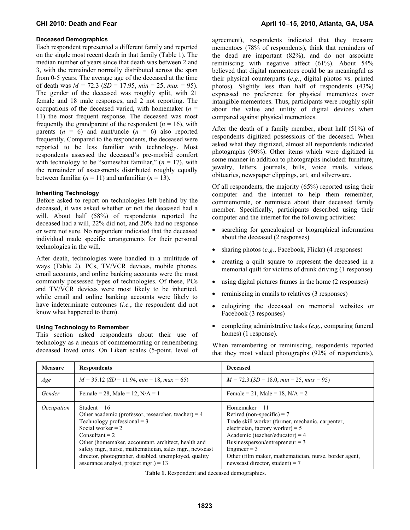#### **Deceased Demographics**

Each respondent represented a different family and reported on the single most recent death in that family (Table 1). The median number of years since that death was between 2 and 3, with the remainder normally distributed across the span from 0-5 years. The average age of the deceased at the time of death was *M =* 72.3 (*SD* = 17.95, *min* = 25, *max =* 95). The gender of the deceased was roughly split, with 21 female and 18 male responses, and 2 not reporting. The occupations of the deceased varied, with homemaker  $(n =$ 11) the most frequent response. The deceased was most frequently the grandparent of the respondent  $(n = 16)$ , with parents  $(n = 6)$  and aunt/uncle  $(n = 6)$  also reported frequently. Compared to the respondents, the deceased were reported to be less familiar with technology. Most respondents assessed the deceased's pre-morbid comfort with technology to be "somewhat familiar,"  $(n = 17)$ , with the remainder of assessments distributed roughly equally between familiar  $(n = 11)$  and unfamiliar  $(n = 13)$ .

### **Inheriting Technology**

Before asked to report on technologies left behind by the deceased, it was asked whether or not the deceased had a will. About half (58%) of respondents reported the deceased had a will, 22% did not, and 20% had no response or were not sure. No respondent indicated that the deceased individual made specific arrangements for their personal technologies in the will.

After death, technologies were handled in a multitude of ways (Table 2). PCs, TV/VCR devices, mobile phones, email accounts, and online banking accounts were the most commonly possessed types of technologies. Of these, PCs and TV/VCR devices were most likely to be inherited, while email and online banking accounts were likely to have indeterminate outcomes (*i.e.*, the respondent did not know what happened to them).

### **Using Technology to Remember**

This section asked respondents about their use of technology as a means of commemorating or remembering deceased loved ones. On Likert scales (5-point, level of agreement), respondents indicated that they treasure mementoes (78% of respondents), think that reminders of the dead are important (82%), and do not associate reminiscing with negative affect (61%). About 54% believed that digital mementoes could be as meaningful as their physical counterparts (*e.g.*, digital photos vs. printed photos). Slightly less than half of respondents (43%) expressed no preference for physical mementoes over intangible mementoes. Thus, participants were roughly split about the value and utility of digital devices when compared against physical mementoes.

After the death of a family member, about half (51%) of respondents digitized possessions of the deceased. When asked what they digitized, almost all respondents indicated photographs (90%). Other items which were digitized in some manner in addition to photographs included: furniture, jewelry, letters, journals, bills, voice mails, videos, obituaries, newspaper clippings, art, and silverware.

Of all respondents, the majority (65%) reported using their computer and the internet to help them remember, commemorate, or reminisce about their deceased family member. Specifically, participants described using their computer and the internet for the following activities:

- searching for genealogical or biographical information about the deceased (2 responses)
- sharing photos (*e.g.*, Facebook, Flickr) (4 responses)
- creating a quilt square to represent the deceased in a memorial quilt for victims of drunk driving (1 response)
- using digital pictures frames in the home (2 responses)
- reminiscing in emails to relatives (3 responses)
- eulogizing the deceased on memorial websites or Facebook (3 responses)
- completing administrative tasks (*e.g.*, comparing funeral homes) (1 response).

When remembering or reminiscing, respondents reported that they most valued photographs (92% of respondents),

| Measure    | <b>Respondents</b>                                                                                                                                                                                                                                                                                                                                                      | <b>Deceased</b>                                                                                                                                                                                                                                                                                                                       |
|------------|-------------------------------------------------------------------------------------------------------------------------------------------------------------------------------------------------------------------------------------------------------------------------------------------------------------------------------------------------------------------------|---------------------------------------------------------------------------------------------------------------------------------------------------------------------------------------------------------------------------------------------------------------------------------------------------------------------------------------|
| Age        | $M = 35.12$ (SD = 11.94, min = 18, max = 65)                                                                                                                                                                                                                                                                                                                            | $M = 72.3 (SD = 18.0, min = 25, max = 95)$                                                                                                                                                                                                                                                                                            |
| Gender     | Female = 28, Male = 12, $N/A = 1$                                                                                                                                                                                                                                                                                                                                       | Female = 21, Male = 18, N/A = 2                                                                                                                                                                                                                                                                                                       |
| Occupation | Student = $16$<br>Other academic (professor, researcher, teacher) = $4$<br>Technology professional $=$ 3<br>Social worker $= 2$<br>$Consider = 2$<br>Other (homemaker, accountant, architect, health and<br>safety mgr., nurse, mathematician, sales mgr., newscast<br>director, photographer, disabled, unemployed, quality<br>assurance analyst, project mgr.) = $13$ | Homemaker $= 11$<br>Retired (non-specific) = $7$<br>Trade skill worker (farmer, mechanic, carpenter,<br>electrician, factory worker) = $5$<br>Academic (teacher/educator) = $4$<br>Businessperson/entrepreneur = $3$<br>Engineer $=$ 3<br>Other (film maker, mathematician, nurse, border agent,<br>newscast director, student) = $7$ |

**Table 1.** Respondent and deceased demographics.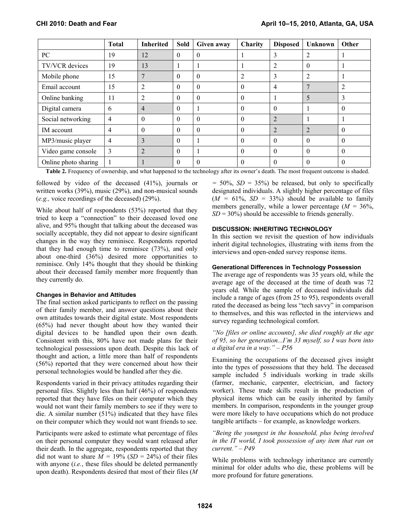|                      | <b>Total</b>   | <b>Inherited</b> | <b>Sold</b> | Given away | Charity        | <b>Disposed</b> | <b>Unknown</b> | Other          |
|----------------------|----------------|------------------|-------------|------------|----------------|-----------------|----------------|----------------|
| PC                   | 19             | 12               | $\theta$    | $\theta$   |                | 3               | $\overline{2}$ |                |
| TV/VCR devices       | 19             | 13               |             |            |                | 2               | $\theta$       |                |
| Mobile phone         | 15             | 7                | $\theta$    | $\theta$   | $\overline{2}$ | 3               | $\overline{2}$ |                |
| Email account        | 15             | $\overline{2}$   | $\theta$    | $\theta$   | $\theta$       | 4               | $\mathbf{r}$   | $\overline{c}$ |
| Online banking       | 11             | 2                | $\Omega$    | $\theta$   | $\theta$       |                 | 5              | 3              |
| Digital camera       | 6              | $\overline{4}$   | $\theta$    |            | $\theta$       | $\theta$        |                | $\Omega$       |
| Social networking    | 4              | $\theta$         | $\Omega$    | $\theta$   | $\theta$       | $\overline{2}$  |                |                |
| IM account           | $\overline{4}$ | $\theta$         | $\theta$    | $\theta$   | $\theta$       | $\overline{2}$  | $\overline{2}$ | $\theta$       |
| MP3/music player     | 4              | 3                | $\Omega$    |            | $\theta$       | $\theta$        | $\Omega$       | $\theta$       |
| Video game console   | 3              | $\overline{2}$   | $\theta$    |            | $\theta$       | $\theta$        | $\Omega$       | $\theta$       |
| Online photo sharing |                |                  | $\theta$    | $\theta$   | 0              | $\theta$        | $\Omega$       | 0              |

**Table 2.** Frequency of ownership, and what happened to the technology after its owner's death. The most frequent outcome is shaded.

followed by video of the deceased (41%), journals or written works (39%), music (29%), and non-musical sounds (*e.g.,* voice recordings of the deceased) (29%).

While about half of respondents (53%) reported that they tried to keep a "connection" to their deceased loved one alive, and 95% thought that talking about the deceased was socially acceptable, they did not appear to desire significant changes in the way they reminisce. Respondents reported that they had enough time to reminisce (73%), and only about one-third (36%) desired more opportunities to reminisce. Only 14% thought that they should be thinking about their deceased family member more frequently than they currently do.

# **Changes in Behavior and Attitudes**

The final section asked participants to reflect on the passing of their family member, and answer questions about their own attitudes towards their digital estate. Most respondents (65%) had never thought about how they wanted their digital devices to be handled upon their own death. Consistent with this, 80% have not made plans for their technological possessions upon death. Despite this lack of thought and action, a little more than half of respondents (56%) reported that they were concerned about how their personal technologies would be handled after they die.

Respondents varied in their privacy attitudes regarding their personal files. Slightly less than half (46%) of respondents reported that they have files on their computer which they would not want their family members to see if they were to die. A similar number (51%) indicated that they have files on their computer which they would not want friends to see.

Participants were asked to estimate what percentage of files on their personal computer they would want released after their death. In the aggregate, respondents reported that they did not want to share  $M = 19\%$  (*SD* = 24%) of their files with anyone *(i.e.*, these files should be deleted permanently upon death). Respondents desired that most of their files (*M* 

*=* 50%, *SD* = 35%) be released, but only to specifically designated individuals. A slightly higher percentage of files  $(M = 61\%, SD = 33\%)$  should be available to family members generally, while a lower percentage (*M =* 36%,  $SD = 30\%$ ) should be accessible to friends generally.

# **DISCUSSION: INHERITING TECHNOLOGY**

In this section we revisit the question of how individuals inherit digital technologies, illustrating with items from the interviews and open-ended survey response items.

# **Generational Differences in Technology Possession**

The average age of respondents was 35 years old, while the average age of the deceased at the time of death was 72 years old. While the sample of deceased individuals did include a range of ages (from 25 to 95), respondents overall rated the deceased as being less "tech savvy" in comparison to themselves, and this was reflected in the interviews and survey regarding technological comfort.

*"No [files or online accounts], she died roughly at the age of 95, so her generation...I'm 33 myself, so I was born into a digital era in a way." – P56* 

Examining the occupations of the deceased gives insight into the types of possessions that they held. The deceased sample included 5 individuals working in trade skills (farmer, mechanic, carpenter, electrician, and factory worker). These trade skills result in the production of physical items which can be easily inherited by family members. In comparison, respondents in the younger group were more likely to have occupations which do not produce tangible artifacts – for example, as knowledge workers.

*"Being the youngest in the household, plus being involved in the IT world, I took possession of any item that ran on current." – P49* 

While problems with technology inheritance are currently minimal for older adults who die, these problems will be more profound for future generations.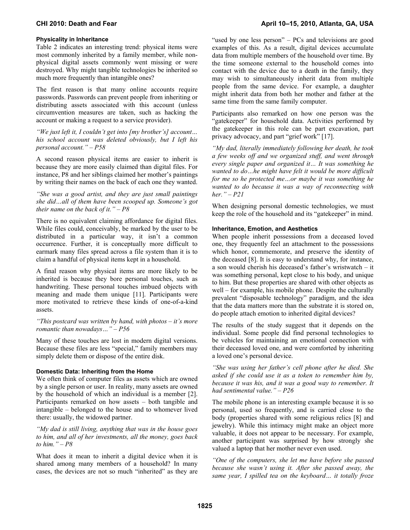### **Physicality in Inheritance**

Table 2 indicates an interesting trend: physical items were most commonly inherited by a family member, while nonphysical digital assets commonly went missing or were destroyed. Why might tangible technologies be inherited so much more frequently than intangible ones?

The first reason is that many online accounts require passwords. Passwords can prevent people from inheriting or distributing assets associated with this account (unless circumvention measures are taken, such as hacking the account or making a request to a service provider).

*"We just left it, I couldn't get into [my brother's] account… his school account was deleted obviously, but I left his personal account." – P58* 

A second reason physical items are easier to inherit is because they are more easily claimed than digital files. For instance, P8 and her siblings claimed her mother's paintings by writing their names on the back of each one they wanted.

*"She was a good artist, and they are just small paintings she did…all of them have been scooped up. Someone's got their name on the back of it." – P8* 

There is no equivalent claiming affordance for digital files. While files could, conceivably, be marked by the user to be distributed in a particular way, it isn't a common occurrence. Further, it is conceptually more difficult to earmark many files spread across a file system than it is to claim a handful of physical items kept in a household.

A final reason why physical items are more likely to be inherited is because they bore personal touches, such as handwriting. These personal touches imbued objects with meaning and made them unique [11]. Participants were more motivated to retrieve these kinds of one-of-a-kind assets.

*"This postcard was written by hand, with photos – it's more romantic than nowadays…" – P56* 

Many of these touches are lost in modern digital versions. Because these files are less "special," family members may simply delete them or dispose of the entire disk.

#### **Domestic Data: Inheriting from the Home**

We often think of computer files as assets which are owned by a single person or user. In reality, many assets are owned by the household of which an individual is a member [2]. Participants remarked on how assets – both tangible and intangible – belonged to the house and to whomever lived there: usually, the widowed partner.

*"My dad is still living, anything that was in the house goes to him, and all of her investments, all the money, goes back to him." – P8* 

What does it mean to inherit a digital device when it is shared among many members of a household? In many cases, the devices are not so much "inherited" as they are

"used by one less person" – PCs and televisions are good examples of this. As a result, digital devices accumulate data from multiple members of the household over time. By the time someone external to the household comes into contact with the device due to a death in the family, they may wish to simultaneously inherit data from multiple people from the same device. For example, a daughter might inherit data from both her mother and father at the same time from the same family computer.

Participants also remarked on how one person was the "gatekeeper" for household data. Activities performed by the gatekeeper in this role can be part excavation, part privacy advocacy, and part "grief work" [17].

*"My dad, literally immediately following her death, he took a few weeks off and we organized stuff, and went through every single paper and organized it… It was something he wanted to do…he might have felt it would be more difficult for me so he protected me…or maybe it was something he wanted to do because it was a way of reconnecting with her." – P21* 

When designing personal domestic technologies, we must keep the role of the household and its "gatekeeper" in mind.

#### **Inheritance, Emotion, and Aesthetics**

When people inherit possessions from a deceased loved one, they frequently feel an attachment to the possessions which honor, commemorate, and preserve the identity of the deceased [8]. It is easy to understand why, for instance, a son would cherish his deceased's father's wristwatch – it was something personal, kept close to his body, and unique to him. But these properties are shared with other objects as well – for example, his mobile phone. Despite the culturally prevalent "disposable technology" paradigm, and the idea that the data matters more than the substrate it is stored on, do people attach emotion to inherited digital devices?

The results of the study suggest that it depends on the individual. Some people did find personal technologies to be vehicles for maintaining an emotional connection with their deceased loved one, and were comforted by inheriting a loved one's personal device.

*"She was using her father's cell phone after he died. She asked if she could use it as a token to remember him by, because it was his, and it was a good way to remember. It had sentimental value." – P26* 

The mobile phone is an interesting example because it is so personal, used so frequently, and is carried close to the body (properties shared with some religious relics [8] and jewelry). While this intimacy might make an object more valuable, it does not appear to be necessary. For example, another participant was surprised by how strongly she valued a laptop that her mother never even used.

*"One of the computers, she let me have before she passed because she wasn't using it. After she passed away, the same year, I spilled tea on the keyboard… it totally froze*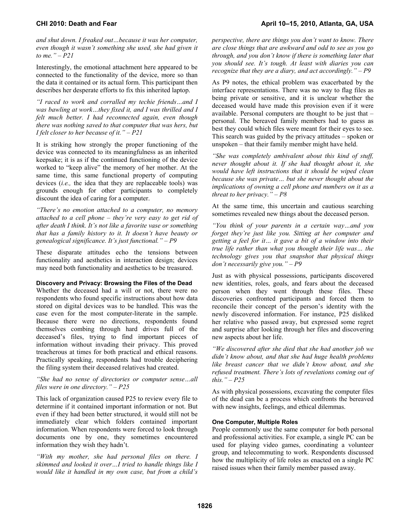*and shut down. I freaked out…because it was her computer, even though it wasn't something she used, she had given it to me." – P21* 

Interestingly, the emotional attachment here appeared to be connected to the functionality of the device, more so than the data it contained or its actual form. This participant then describes her desperate efforts to fix this inherited laptop.

*"I raced to work and corralled my techie friends…and I was bawling at work…they fixed it, and I was thrilled and I felt much better. I had reconnected again, even though there was nothing saved to that computer that was hers, but I felt closer to her because of it." – P21* 

It is striking how strongly the proper functioning of the device was connected to its meaningfulness as an inherited keepsake; it is as if the continued functioning of the device worked to "keep alive" the memory of her mother. At the same time, this same functional property of computing devices (*i.e.,* the idea that they are replaceable tools) was grounds enough for other participants to completely discount the idea of caring for a computer.

*"There's no emotion attached to a computer, no memory attached to a cell phone – they're very easy to get rid of after death I think. It's not like a favorite vase or something that has a family history to it. It doesn't have beauty or genealogical significance. It's just functional." – P9* 

These disparate attitudes echo the tensions between functionality and aesthetics in interaction design; devices may need both functionality and aesthetics to be treasured.

### **Discovery and Privacy: Browsing the Files of the Dead**

Whether the deceased had a will or not, there were no respondents who found specific instructions about how data stored on digital devices was to be handled. This was the case even for the most computer-literate in the sample. Because there were no directions, respondents found themselves combing through hard drives full of the deceased's files, trying to find important pieces of information without invading their privacy. This proved treacherous at times for both practical and ethical reasons. Practically speaking, respondents had trouble deciphering the filing system their deceased relatives had created.

*"She had no sense of directories or computer sense…all files were in one directory." – P25* 

This lack of organization caused P25 to review every file to determine if it contained important information or not. But even if they had been better structured, it would still not be immediately clear which folders contained important information. When respondents were forced to look through documents one by one, they sometimes encountered information they wish they hadn't.

*"With my mother, she had personal files on there. I skimmed and looked it over…I tried to handle things like I would like it handled in my own case, but from a child's*  *perspective, there are things you don't want to know. There are close things that are awkward and odd to see as you go through, and you don't know if there is something later that you should see. It's tough. At least with diaries you can recognize that they are a diary, and act accordingly." – P9* 

As P9 notes, the ethical problem was exacerbated by the interface representations. There was no way to flag files as being private or sensitive, and it is unclear whether the deceased would have made this provision even if it were available. Personal computers are thought to be just that – personal. The bereaved family members had to guess as best they could which files were meant for their eyes to see. This search was guided by the privacy attitudes – spoken or unspoken – that their family member might have held.

*"She was completely ambivalent about this kind of stuff, never thought about it. If she had thought about it, she would have left instructions that it should be wiped clean because she was private… but she never thought about the implications of owning a cell phone and numbers on it as a threat to her privacy." – P8* 

At the same time, this uncertain and cautious searching sometimes revealed new things about the deceased person.

*"You think of your parents in a certain way…and you forget they're just like you. Sitting at her computer and getting a feel for it… it gave a bit of a window into their true life rather than what you thought their life was… the technology gives you that snapshot that physical things don't necessarily give you." – P9* 

Just as with physical possessions, participants discovered new identities, roles, goals, and fears about the deceased person when they went through these files. These discoveries confronted participants and forced them to reconcile their concept of the person's identity with the newly discovered information. For instance, P25 disliked her relative who passed away, but expressed some regret and surprise after looking through her files and discovering new aspects about her life.

*"We discovered after she died that she had another job we didn't know about, and that she had huge health problems like breast cancer that we didn't know about, and she refused treatment. There's lots of revelations coming out of this." – P25* 

As with physical possessions, excavating the computer files of the dead can be a process which confronts the bereaved with new insights, feelings, and ethical dilemmas.

### **One Computer, Multiple Roles**

People commonly use the same computer for both personal and professional activities. For example, a single PC can be used for playing video games, coordinating a volunteer group, and telecommuting to work. Respondents discussed how the multiplicity of life roles as enacted on a single PC raised issues when their family member passed away.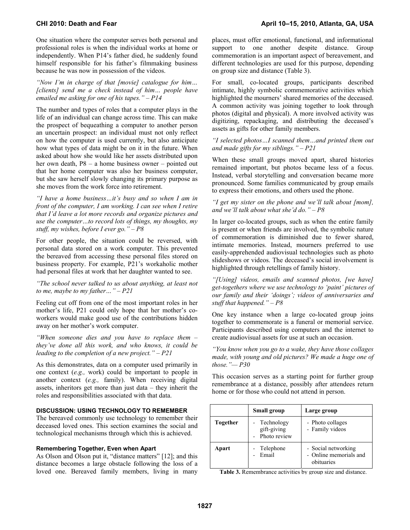One situation where the computer serves both personal and professional roles is when the individual works at home or independently. When P14's father died, he suddenly found himself responsible for his father's filmmaking business because he was now in possession of the videos.

*"Now I'm in charge of that [movie] catalogue for him… [clients] send me a check instead of him… people have emailed me asking for one of his tapes." – P14* 

The number and types of roles that a computer plays in the life of an individual can change across time. This can make the prospect of bequeathing a computer to another person an uncertain prospect: an individual must not only reflect on how the computer is used currently, but also anticipate how what types of data might be on it in the future. When asked about how she would like her assets distributed upon her own death, P8 – a home business owner – pointed out that her home computer was also her business computer, but she saw herself slowly changing its primary purpose as she moves from the work force into retirement.

*"I have a home business…it's busy and so when I am in front of the computer, I am working. I can see when I retire that I'd leave a lot more records and organize pictures and use the computer…to record lots of things, my thoughts, my stuff, my wishes, before I ever go." – P8* 

For other people, the situation could be reversed, with personal data stored on a work computer. This prevented the bereaved from accessing these personal files stored on business property. For example, P21's workaholic mother had personal files at work that her daughter wanted to see.

*"The school never talked to us about anything, at least not to me, maybe to my father…" – P21* 

Feeling cut off from one of the most important roles in her mother's life, P21 could only hope that her mother's coworkers would make good use of the contributions hidden away on her mother's work computer.

*"When someone dies and you have to replace them – they've done all this work, and who knows, it could be leading to the completion of a new project." – P21* 

As this demonstrates, data on a computer used primarily in one context (*e.g.,* work) could be important to people in another context (*e.g.,* family). When receiving digital assets, inheritors get more than just data – they inherit the roles and responsibilities associated with that data.

# **DISCUSSION: USING TECHNOLOGY TO REMEMBER**

The bereaved commonly use technology to remember their deceased loved ones. This section examines the social and technological mechanisms through which this is achieved.

### **Remembering Together, Even when Apart**

As Olson and Olson put it, "distance matters" [12]; and this distance becomes a large obstacle following the loss of a loved one. Bereaved family members, living in many places, must offer emotional, functional, and informational support to one another despite distance. Group commemoration is an important aspect of bereavement, and different technologies are used for this purpose, depending on group size and distance (Table 3).

For small, co-located groups, participants described intimate, highly symbolic commemorative activities which highlighted the mourners' shared memories of the deceased. A common activity was joining together to look through photos (digital and physical). A more involved activity was digitizing, repackaging, and distributing the deceased's assets as gifts for other family members.

*"I selected photos…I scanned them…and printed them out and made gifts for my siblings." – P21* 

When these small groups moved apart, shared histories remained important, but photos became less of a focus. Instead, verbal storytelling and conversation became more pronounced. Some families communicated by group emails to express their emotions, and others used the phone.

*"I get my sister on the phone and we'll talk about [mom], and we'll talk about what she'd do." – P8* 

In larger co-located groups, such as when the entire family is present or when friends are involved, the symbolic nature of commemoration is diminished due to fewer shared, intimate memories. Instead, mourners preferred to use easily-apprehended audiovisual technologies such as photo slideshows or videos. The deceased's social involvement is highlighted through retellings of family history.

*"[Using] videos, emails and scanned photos, [we have] get-togethers where we use technology to 'paint' pictures of our family and their 'doings'; videos of anniversaries and stuff that happened." – P8* 

One key instance when a large co-located group joins together to commemorate is a funeral or memorial service. Participants described using computers and the internet to create audiovisual assets for use at such an occasion.

*"You know when you go to a wake, they have those collages made, with young and old pictures? We made a huge one of those."— P30* 

This occasion serves as a starting point for further group remembrance at a distance, possibly after attendees return home or for those who could not attend in person.

|          | <b>Small group</b>                        | Large group                                                 |  |  |  |
|----------|-------------------------------------------|-------------------------------------------------------------|--|--|--|
| Together | Technology<br>gift-giving<br>Photo review | - Photo collages<br>- Family videos                         |  |  |  |
| Apart    | Telephone<br>Email                        | - Social networking<br>- Online memorials and<br>obituaries |  |  |  |

**Table 3.** Remembrance activities by group size and distance.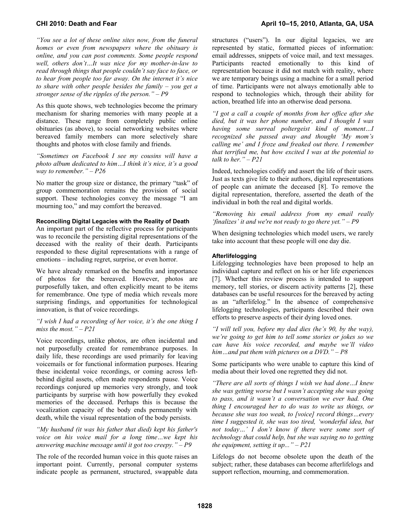*"You see a lot of these online sites now, from the funeral homes or even from newspapers where the obituary is online, and you can post comments. Some people respond well, others don't…It was nice for my mother-in-law to read through things that people couldn't say face to face, or to hear from people too far away. On the internet it's nice to share with other people besides the family – you get a stronger sense of the ripples of the person." – P9* 

As this quote shows, web technologies become the primary mechanism for sharing memories with many people at a distance. These range from completely public online obituaries (as above), to social networking websites where bereaved family members can more selectively share thoughts and photos with close family and friends.

*"Sometimes on Facebook I see my cousins will have a photo album dedicated to him…I think it's nice, it's a good way to remember." – P26* 

No matter the group size or distance, the primary "task" of group commemoration remains the provision of social support. These technologies convey the message "I am mourning too," and may comfort the bereaved.

# **Reconciling Digital Legacies with the Reality of Death**

An important part of the reflective process for participants was to reconcile the persisting digital representations of the deceased with the reality of their death. Participants responded to these digital representations with a range of emotions – including regret, surprise, or even horror.

We have already remarked on the benefits and importance of photos for the bereaved. However, photos are purposefully taken, and often explicitly meant to be items for remembrance. One type of media which reveals more surprising findings, and opportunities for technological innovation, is that of voice recordings.

### *"I wish I had a recording of her voice, it's the one thing I miss the most." – P21*

Voice recordings, unlike photos, are often incidental and not purposefully created for remembrance purposes. In daily life, these recordings are used primarily for leaving voicemails or for functional information purposes. Hearing these incidental voice recordings, or coming across leftbehind digital assets, often made respondents pause. Voice recordings conjured up memories very strongly, and took participants by surprise with how powerfully they evoked memories of the deceased. Perhaps this is because the vocalization capacity of the body ends permanently with death, while the visual representation of the body persists.

*"My husband (it was his father that died) kept his father's voice on his voice mail for a long time…we kept his answering machine message until it got too creepy." – P9* 

The role of the recorded human voice in this quote raises an important point. Currently, personal computer systems indicate people as permanent, structured, swappable data

structures ("users"). In our digital legacies, we are represented by static, formatted pieces of information: email addresses, snippets of voice mail, and text messages. Participants reacted emotionally to this kind of representation because it did not match with reality, where we are temporary beings using a machine for a small period of time. Participants were not always emotionally able to respond to technologies which, through their ability for action, breathed life into an otherwise dead persona.

*"I got a call a couple of months from her office after she died, but it was her phone number, and I thought I was having some surreal poltergeist kind of moment…I recognized she passed away and thought 'My mom's calling me' and I froze and freaked out there. I remember that terrified me, but how excited I was at the potential to talk to her." – P21* 

Indeed, technologies codify and assert the life of their users. Just as texts give life to their authors, digital representations of people can animate the deceased [8]. To remove the digital representation, therefore, asserted the death of the individual in both the real and digital worlds.

*"Removing his email address from my email really 'finalizes' it and we're not ready to go there yet." – P9* 

When designing technologies which model users, we rarely take into account that these people will one day die.

# **Afterlifelogging**

Lifelogging technologies have been proposed to help an individual capture and reflect on his or her life experiences [7]. Whether this review process is intended to support memory, tell stories, or discern activity patterns [2], these databases can be useful resources for the bereaved by acting as an "afterlifelog." In the absence of comprehensive lifelogging technologies, participants described their own efforts to preserve aspects of their dying loved ones.

*"I will tell you, before my dad dies (he's 90, by the way), we're going to get him to tell some stories or jokes so we can have his voice recorded, and maybe we'll video him…and put them with pictures on a DVD." – P8* 

Some participants who were unable to capture this kind of media about their loved one regretted they did not.

*"There are all sorts of things I wish we had done…I knew she was getting worse but I wasn't accepting she was going to pass, and it wasn't a conversation we ever had. One thing I encouraged her to do was to write us things, or because she was too weak, to [voice] record things…every time I suggested it, she was too tired, 'wonderful idea, but not today…' I don't know if there were some sort of technology that could help, but she was saying no to getting the equipment, setting it up..." – P21* 

Lifelogs do not become obsolete upon the death of the subject; rather, these databases can become afterlifelogs and support reflection, mourning, and commemoration.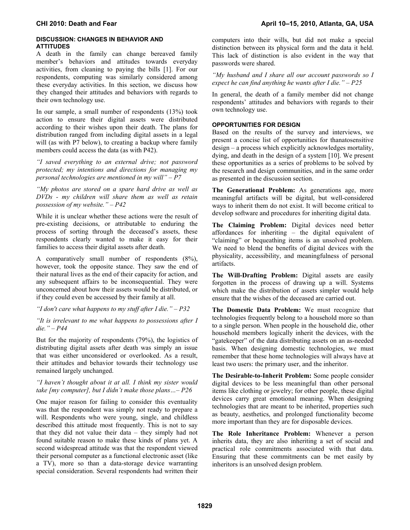#### **DISCUSSION: CHANGES IN BEHAVIOR AND ATTITUDES**

A death in the family can change bereaved family member's behaviors and attitudes towards everyday activities, from cleaning to paying the bills [1]. For our respondents, computing was similarly considered among these everyday activities. In this section, we discuss how they changed their attitudes and behaviors with regards to their own technology use.

In our sample, a small number of respondents (13%) took action to ensure their digital assets were distributed according to their wishes upon their death. The plans for distribution ranged from including digital assets in a legal will (as with P7 below), to creating a backup where family members could access the data (as with P42).

*"I saved everything to an external drive; not password protected; my intentions and directions for managing my personal technologies are mentioned in my will" – P7* 

*"My photos are stored on a spare hard drive as well as DVDs - my children will share them as well as retain possession of my website." – P42* 

While it is unclear whether these actions were the result of pre-existing decisions, or attributable to enduring the process of sorting through the deceased's assets, these respondents clearly wanted to make it easy for their families to access their digital assets after death.

A comparatively small number of respondents (8%), however, took the opposite stance. They saw the end of their natural lives as the end of their capacity for action, and any subsequent affairs to be inconsequential. They were unconcerned about how their assets would be distributed, or if they could even be accessed by their family at all.

*"I don't care what happens to my stuff after I die." – P32* 

*"It is irrelevant to me what happens to possessions after I die." – P44* 

But for the majority of respondents (79%), the logistics of distributing digital assets after death was simply an issue that was either unconsidered or overlooked. As a result, their attitudes and behavior towards their technology use remained largely unchanged.

# *"I haven't thought about it at all. I think my sister would take [my computer], but I didn't make those plans…– P26*

One major reason for failing to consider this eventuality was that the respondent was simply not ready to prepare a will. Respondents who were young, single, and childless described this attitude most frequently. This is not to say that they did not value their data – they simply had not found suitable reason to make these kinds of plans yet. A second widespread attitude was that the respondent viewed their personal computer as a functional electronic asset (like a TV), more so than a data-storage device warranting special consideration. Several respondents had written their computers into their wills, but did not make a special distinction between its physical form and the data it held. This lack of distinction is also evident in the way that passwords were shared.

*"My husband and I share all our account passwords so I expect he can find anything he wants after I die." – P25* 

In general, the death of a family member did not change respondents' attitudes and behaviors with regards to their own technology use.

# **OPPORTUNITIES FOR DESIGN**

Based on the results of the survey and interviews, we present a concise list of opportunities for thanatosensitive design – a process which explicitly acknowledges mortality, dying, and death in the design of a system [10]. We present these opportunities as a series of problems to be solved by the research and design communities, and in the same order as presented in the discussion section.

**The Generational Problem:** As generations age, more meaningful artifacts will be digital, but well-considered ways to inherit them do not exist. It will become critical to develop software and procedures for inheriting digital data.

**The Claiming Problem:** Digital devices need better affordances for inheriting – the digital equivalent of "claiming" or bequeathing items is an unsolved problem. We need to blend the benefits of digital devices with the physicality, accessibility, and meaningfulness of personal artifacts.

**The Will-Drafting Problem:** Digital assets are easily forgotten in the process of drawing up a will. Systems which make the distribution of assets simpler would help ensure that the wishes of the deceased are carried out.

**The Domestic Data Problem:** We must recognize that technologies frequently belong to a household more so than to a single person. When people in the household die, other household members logically inherit the devices, with the "gatekeeper" of the data distributing assets on an as-needed basis. When designing domestic technologies, we must remember that these home technologies will always have at least two users: the primary user, and the inheritor.

**The Desirable-to-Inherit Problem:** Some people consider digital devices to be less meaningful than other personal items like clothing or jewelry; for other people, these digital devices carry great emotional meaning. When designing technologies that are meant to be inherited, properties such as beauty, aesthetics, and prolonged functionality become more important than they are for disposable devices.

**The Role Inheritance Problem:** Whenever a person inherits data, they are also inheriting a set of social and practical role commitments associated with that data. Ensuring that these commitments can be met easily by inheritors is an unsolved design problem.